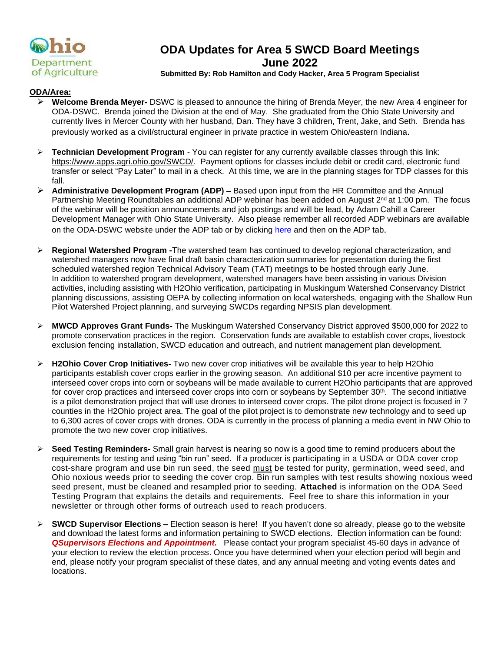

# **ODA Updates for Area 5 SWCD Board Meetings June 2022**

#### **Submitted By: Rob Hamilton and Cody Hacker, Area 5 Program Specialist**

#### **ODA/Area:**

- ➢ **Welcome Brenda Meyer-** DSWC is pleased to announce the hiring of Brenda Meyer, the new Area 4 engineer for ODA-DSWC. Brenda joined the Division at the end of May. She graduated from the Ohio State University and currently lives in Mercer County with her husband, Dan. They have 3 children, Trent, Jake, and Seth. Brenda has previously worked as a civil/structural engineer in private practice in western Ohio/eastern Indiana.
- ➢ **Technician Development Program** You can register for any currently available classes through this link: [https://www.apps.agri.ohio.gov/SWCD/.](https://gcc02.safelinks.protection.outlook.com/?url=https%3A%2F%2Fwww.apps.agri.ohio.gov%2FSWCD%2F&data=05%7C01%7CRobert.Hamilton%40agri.ohio.gov%7C11a5563fa316466fe1b408da3f4eb27d%7C50f8fcc494d84f0784eb36ed57c7c8a2%7C0%7C0%7C637891904469586341%7CUnknown%7CTWFpbGZsb3d8eyJWIjoiMC4wLjAwMDAiLCJQIjoiV2luMzIiLCJBTiI6Ik1haWwiLCJXVCI6Mn0%3D%7C3000%7C%7C%7C&sdata=jIeU%2Fqsao60A4%2BgqP2d%2FGuVVTLb7V7F4FifqLs5wugA%3D&reserved=0) Payment options for classes include debit or credit card, electronic fund transfer or select "Pay Later" to mail in a check. At this time, we are in the planning stages for TDP classes for this fall.
- ➢ **Administrative Development Program (ADP) –** Based upon input from the HR Committee and the Annual Partnership Meeting Roundtables an additional ADP webinar has been added on August 2<sup>nd</sup> at 1:00 pm. The focus of the webinar will be position announcements and job postings and will be lead, by Adam Cahill a Career Development Manager with Ohio State University. Also please remember all recorded ADP webinars are available on the ODA-DSWC website under the ADP tab or by clicking [here](https://gcc02.safelinks.protection.outlook.com/?url=https%3A%2F%2Fagri.ohio.gov%2Fdivisions%2Fsoil-and-water-conservation%2Flocal-swcd-resources&data=05%7C01%7CRobert.Hamilton%40agri.ohio.gov%7C98b39c85594c48067a2b08da3e89c62b%7C50f8fcc494d84f0784eb36ed57c7c8a2%7C0%7C0%7C637891058693563801%7CUnknown%7CTWFpbGZsb3d8eyJWIjoiMC4wLjAwMDAiLCJQIjoiV2luMzIiLCJBTiI6Ik1haWwiLCJXVCI6Mn0%3D%7C3000%7C%7C%7C&sdata=q5GypnkOC016G1VlSwwLU2kQT1bWt3piXZe6u9%2FHaqk%3D&reserved=0) and then on the ADP tab.
- ➢ **Regional Watershed Program -**The watershed team has continued to develop regional characterization, and watershed managers now have final draft basin characterization summaries for presentation during the first scheduled watershed region Technical Advisory Team (TAT) meetings to be hosted through early June. In addition to watershed program development, watershed managers have been assisting in various Division activities, including assisting with H2Ohio verification, participating in Muskingum Watershed Conservancy District planning discussions, assisting OEPA by collecting information on local watersheds, engaging with the Shallow Run Pilot Watershed Project planning, and surveying SWCDs regarding NPSIS plan development.
- ➢ **MWCD Approves Grant Funds-** The Muskingum Watershed Conservancy District approved \$500,000 for 2022 to promote conservation practices in the region. Conservation funds are available to establish cover crops, livestock exclusion fencing installation, SWCD education and outreach, and nutrient management plan development.
- ➢ **H2Ohio Cover Crop Initiatives-** Two new cover crop initiatives will be available this year to help H2Ohio participants establish cover crops earlier in the growing season. An additional \$10 per acre incentive payment to interseed cover crops into corn or soybeans will be made available to current H2Ohio participants that are approved for cover crop practices and interseed cover crops into corn or soybeans by September  $30<sup>th</sup>$ . The second initiative is a pilot demonstration project that will use drones to interseed cover crops. The pilot drone project is focused in 7 counties in the H2Ohio project area. The goal of the pilot project is to demonstrate new technology and to seed up to 6,300 acres of cover crops with drones. ODA is currently in the process of planning a media event in NW Ohio to promote the two new cover crop initiatives.
- ➢ **Seed Testing Reminders-** Small grain harvest is nearing so now is a good time to remind producers about the requirements for testing and using "bin run" seed. If a producer is participating in a USDA or ODA cover crop cost-share program and use bin run seed, the seed must be tested for purity, germination, weed seed, and Ohio noxious weeds prior to seeding the cover crop. Bin run samples with test results showing noxious weed seed present, must be cleaned and resampled prior to seeding. **Attached** is information on the ODA Seed Testing Program that explains the details and requirements. Feel free to share this information in your newsletter or through other forms of outreach used to reach producers.
- ➢ **SWCD Supervisor Elections –** Election season is here! If you haven't done so already, please go to the website and download the latest forms and information pertaining to SWCD elections. Election information can be found: *QSupervisors Elections and Appointment.* Please contact your program specialist 45-60 days in advance of your election to review the election process. Once you have determined when your election period will begin and end, please notify your program specialist of these dates, and any annual meeting and voting events dates and locations.